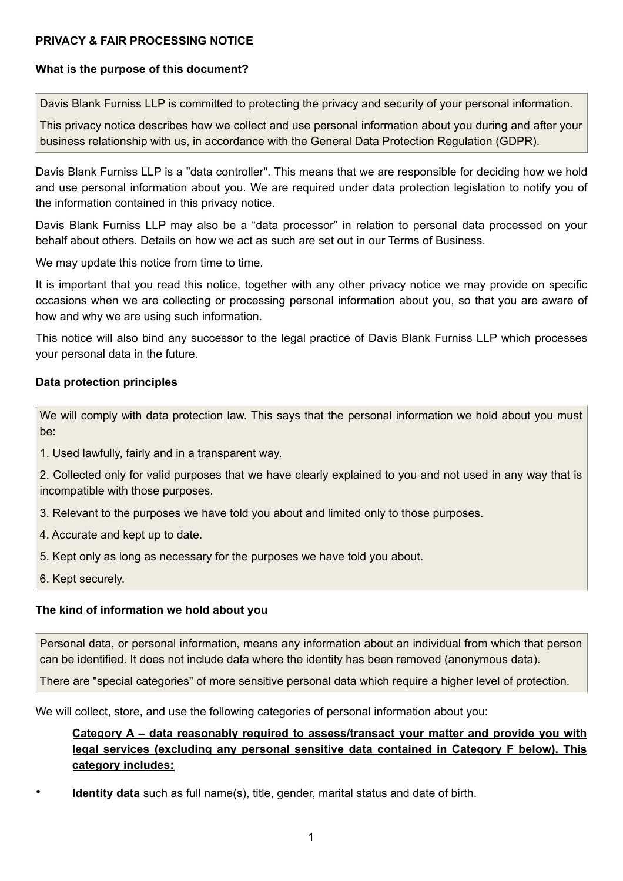# **PRIVACY & FAIR PROCESSING NOTICE**

# **What is the purpose of this document?**

Davis Blank Furniss LLP is committed to protecting the privacy and security of your personal information.

This privacy notice describes how we collect and use personal information about you during and after your business relationship with us, in accordance with the General Data Protection Regulation (GDPR).

Davis Blank Furniss LLP is a "data controller". This means that we are responsible for deciding how we hold and use personal information about you. We are required under data protection legislation to notify you of the information contained in this privacy notice.

Davis Blank Furniss LLP may also be a "data processor" in relation to personal data processed on your behalf about others. Details on how we act as such are set out in our Terms of Business.

We may update this notice from time to time.

It is important that you read this notice, together with any other privacy notice we may provide on specific occasions when we are collecting or processing personal information about you, so that you are aware of how and why we are using such information.

This notice will also bind any successor to the legal practice of Davis Blank Furniss LLP which processes your personal data in the future.

### **Data protection principles**

We will comply with data protection law. This says that the personal information we hold about you must be:

1. Used lawfully, fairly and in a transparent way.

2. Collected only for valid purposes that we have clearly explained to you and not used in any way that is incompatible with those purposes.

- 3. Relevant to the purposes we have told you about and limited only to those purposes.
- 4. Accurate and kept up to date.
- 5. Kept only as long as necessary for the purposes we have told you about.
- 6. Kept securely.

# **The kind of information we hold about you**

Personal data, or personal information, means any information about an individual from which that person can be identified. It does not include data where the identity has been removed (anonymous data).

There are "special categories" of more sensitive personal data which require a higher level of protection.

We will collect, store, and use the following categories of personal information about you:

# **Category A – data reasonably required to assess/transact your matter and provide you with legal services (excluding any personal sensitive data contained in Category F below). This category includes:**

• **Identity data** such as full name(s), title, gender, marital status and date of birth.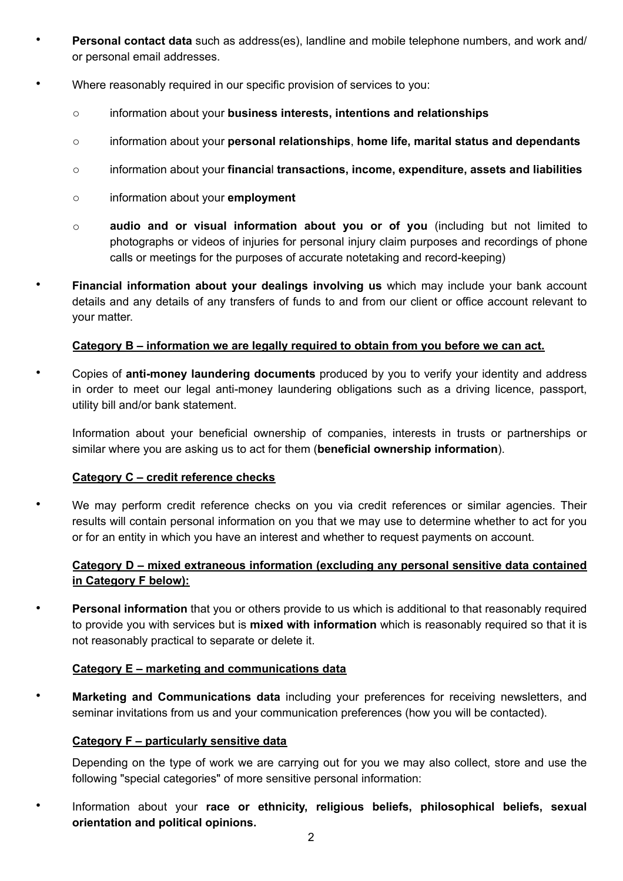- **Personal contact data** such as address(es), landline and mobile telephone numbers, and work and/ or personal email addresses.
- Where reasonably required in our specific provision of services to you:
	- o information about your **business interests, intentions and relationships**
	- o information about your **personal relationships**, **home life, marital status and dependants**
	- o information about your **financia**l **transactions, income, expenditure, assets and liabilities**
	- o information about your **employment**
	- o **audio and or visual information about you or of you** (including but not limited to photographs or videos of injuries for personal injury claim purposes and recordings of phone calls or meetings for the purposes of accurate notetaking and record-keeping)

• **Financial information about your dealings involving us** which may include your bank account details and any details of any transfers of funds to and from our client or office account relevant to your matter.

#### **Category B – information we are legally required to obtain from you before we can act.**

• Copies of **anti-money laundering documents** produced by you to verify your identity and address in order to meet our legal anti-money laundering obligations such as a driving licence, passport, utility bill and/or bank statement.

Information about your beneficial ownership of companies, interests in trusts or partnerships or similar where you are asking us to act for them (**beneficial ownership information**).

#### **Category C – credit reference checks**

• We may perform credit reference checks on you via credit references or similar agencies. Their results will contain personal information on you that we may use to determine whether to act for you or for an entity in which you have an interest and whether to request payments on account.

# **Category D – mixed extraneous information (excluding any personal sensitive data contained in Category F below):**

• **Personal information** that you or others provide to us which is additional to that reasonably required to provide you with services but is **mixed with information** which is reasonably required so that it is not reasonably practical to separate or delete it.

#### **Category E – marketing and communications data**

• **Marketing and Communications data** including your preferences for receiving newsletters, and seminar invitations from us and your communication preferences (how you will be contacted).

#### **Category F – particularly sensitive data**

Depending on the type of work we are carrying out for you we may also collect, store and use the following "special categories" of more sensitive personal information:

• Information about your **race or ethnicity, religious beliefs, philosophical beliefs, sexual orientation and political opinions.**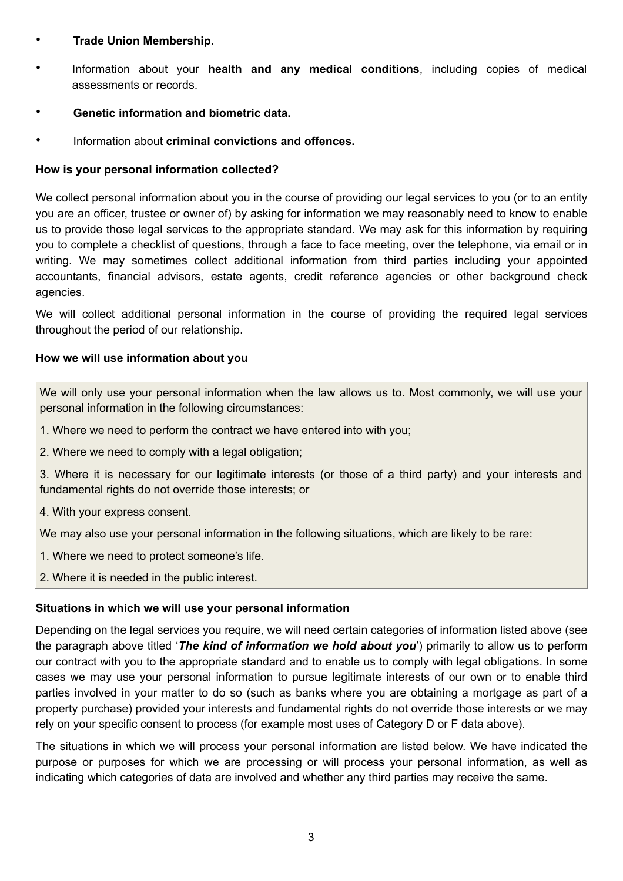# • **Trade Union Membership.**

- Information about your **health and any medical conditions**, including copies of medical assessments or records.
- **Genetic information and biometric data.**
- Information about **criminal convictions and offences.**

### **How is your personal information collected?**

We collect personal information about you in the course of providing our legal services to you (or to an entity you are an officer, trustee or owner of) by asking for information we may reasonably need to know to enable us to provide those legal services to the appropriate standard. We may ask for this information by requiring you to complete a checklist of questions, through a face to face meeting, over the telephone, via email or in writing. We may sometimes collect additional information from third parties including your appointed accountants, financial advisors, estate agents, credit reference agencies or other background check agencies.

We will collect additional personal information in the course of providing the required legal services throughout the period of our relationship.

### **How we will use information about you**

We will only use your personal information when the law allows us to. Most commonly, we will use your personal information in the following circumstances:

- 1. Where we need to perform the contract we have entered into with you;
- 2. Where we need to comply with a legal obligation;

3. Where it is necessary for our legitimate interests (or those of a third party) and your interests and fundamental rights do not override those interests; or

4. With your express consent.

We may also use your personal information in the following situations, which are likely to be rare:

- 1. Where we need to protect someone's life.
- 2. Where it is needed in the public interest.

# **Situations in which we will use your personal information**

Depending on the legal services you require, we will need certain categories of information listed above (see the paragraph above titled '*The kind of information we hold about you*') primarily to allow us to perform our contract with you to the appropriate standard and to enable us to comply with legal obligations. In some cases we may use your personal information to pursue legitimate interests of our own or to enable third parties involved in your matter to do so (such as banks where you are obtaining a mortgage as part of a property purchase) provided your interests and fundamental rights do not override those interests or we may rely on your specific consent to process (for example most uses of Category D or F data above).

The situations in which we will process your personal information are listed below. We have indicated the purpose or purposes for which we are processing or will process your personal information, as well as indicating which categories of data are involved and whether any third parties may receive the same.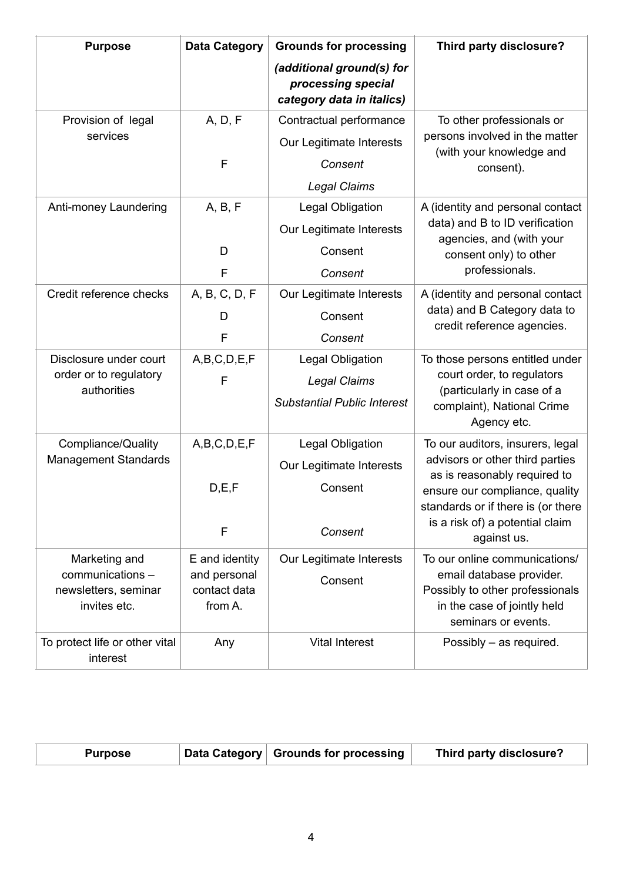| <b>Purpose</b>                                    | <b>Data Category</b>         | <b>Grounds for processing</b>                                                | Third party disclosure?                                                                                                                  |
|---------------------------------------------------|------------------------------|------------------------------------------------------------------------------|------------------------------------------------------------------------------------------------------------------------------------------|
|                                                   |                              | (additional ground(s) for<br>processing special<br>category data in italics) |                                                                                                                                          |
| Provision of legal<br>services                    | A, D, F                      | Contractual performance                                                      | To other professionals or<br>persons involved in the matter<br>(with your knowledge and                                                  |
|                                                   |                              | Our Legitimate Interests                                                     |                                                                                                                                          |
|                                                   | F                            | Consent                                                                      | consent).                                                                                                                                |
|                                                   |                              | <b>Legal Claims</b>                                                          |                                                                                                                                          |
| Anti-money Laundering                             | A, B, F                      | <b>Legal Obligation</b>                                                      | A (identity and personal contact<br>data) and B to ID verification<br>agencies, and (with your                                           |
|                                                   |                              | Our Legitimate Interests                                                     |                                                                                                                                          |
|                                                   | D                            | Consent                                                                      | consent only) to other                                                                                                                   |
|                                                   | F                            | Consent                                                                      | professionals.                                                                                                                           |
| Credit reference checks                           | A, B, C, D, F                | Our Legitimate Interests                                                     | A (identity and personal contact<br>data) and B Category data to<br>credit reference agencies.                                           |
|                                                   | D                            | Consent                                                                      |                                                                                                                                          |
|                                                   | F                            | Consent                                                                      |                                                                                                                                          |
| Disclosure under court                            | A,B,C,D,E,F                  | <b>Legal Obligation</b>                                                      | To those persons entitled under<br>court order, to regulators<br>(particularly in case of a<br>complaint), National Crime<br>Agency etc. |
| order or to regulatory<br>authorities             | F                            | <b>Legal Claims</b>                                                          |                                                                                                                                          |
|                                                   |                              | <b>Substantial Public Interest</b>                                           |                                                                                                                                          |
| Compliance/Quality<br><b>Management Standards</b> | A,B,C,D,E,F                  | <b>Legal Obligation</b>                                                      | To our auditors, insurers, legal<br>advisors or other third parties<br>as is reasonably required to                                      |
|                                                   |                              | Our Legitimate Interests                                                     |                                                                                                                                          |
|                                                   | D.E.F                        | Consent                                                                      | ensure our compliance, quality                                                                                                           |
|                                                   |                              |                                                                              | standards or if there is (or there                                                                                                       |
|                                                   | F                            | Consent                                                                      | is a risk of) a potential claim<br>against us.                                                                                           |
| Marketing and                                     | E and identity               | Our Legitimate Interests                                                     | To our online communications/                                                                                                            |
| communications -<br>newsletters, seminar          | and personal<br>contact data | Consent                                                                      | email database provider.<br>Possibly to other professionals                                                                              |
| invites etc.                                      | from A.                      |                                                                              | in the case of jointly held<br>seminars or events.                                                                                       |
| To protect life or other vital<br>interest        | Any                          | <b>Vital Interest</b>                                                        | Possibly - as required.                                                                                                                  |

| Purpose |  | Data Category Grounds for processing | Third party disclosure? |
|---------|--|--------------------------------------|-------------------------|
|---------|--|--------------------------------------|-------------------------|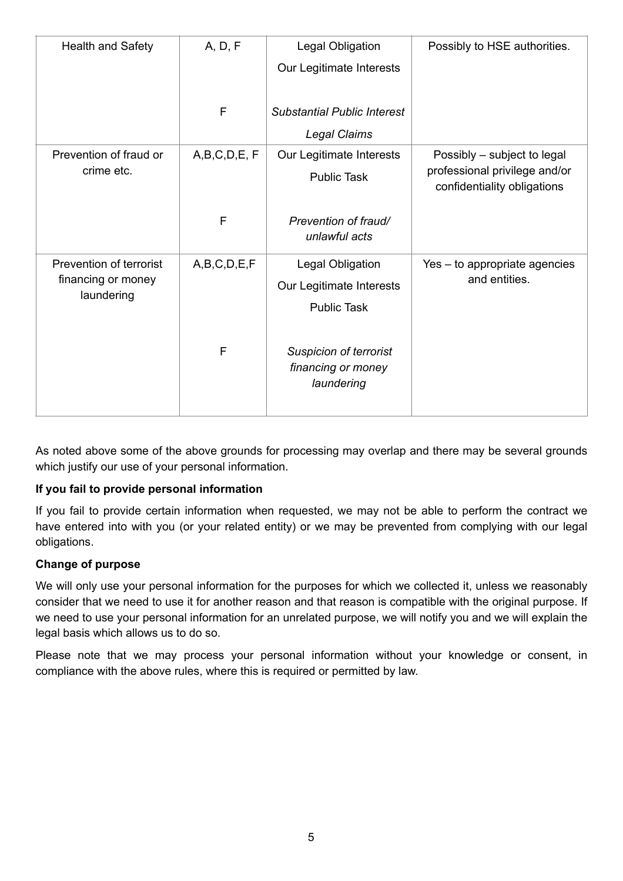| <b>Health and Safety</b>                                    | A, D, F      | <b>Legal Obligation</b>                                    | Possibly to HSE authorities.                                                                |
|-------------------------------------------------------------|--------------|------------------------------------------------------------|---------------------------------------------------------------------------------------------|
|                                                             |              | Our Legitimate Interests                                   |                                                                                             |
|                                                             | $\mathsf F$  | <b>Substantial Public Interest</b>                         |                                                                                             |
|                                                             |              | <b>Legal Claims</b>                                        |                                                                                             |
| Prevention of fraud or<br>crime etc.                        | A,B,C,D,E,F  | Our Legitimate Interests                                   | Possibly – subject to legal<br>professional privilege and/or<br>confidentiality obligations |
|                                                             |              | <b>Public Task</b>                                         |                                                                                             |
|                                                             | $\mathsf{F}$ | Prevention of fraud/<br>unlawful acts                      |                                                                                             |
| Prevention of terrorist<br>financing or money<br>laundering | A,B,C,D,E,F  | <b>Legal Obligation</b>                                    | Yes - to appropriate agencies<br>and entities.                                              |
|                                                             |              | Our Legitimate Interests                                   |                                                                                             |
|                                                             |              | <b>Public Task</b>                                         |                                                                                             |
|                                                             | F            | Suspicion of terrorist<br>financing or money<br>laundering |                                                                                             |

As noted above some of the above grounds for processing may overlap and there may be several grounds which justify our use of your personal information.

# **If you fail to provide personal information**

If you fail to provide certain information when requested, we may not be able to perform the contract we have entered into with you (or your related entity) or we may be prevented from complying with our legal obligations.

# **Change of purpose**

We will only use your personal information for the purposes for which we collected it, unless we reasonably consider that we need to use it for another reason and that reason is compatible with the original purpose. If we need to use your personal information for an unrelated purpose, we will notify you and we will explain the legal basis which allows us to do so.

Please note that we may process your personal information without your knowledge or consent, in compliance with the above rules, where this is required or permitted by law.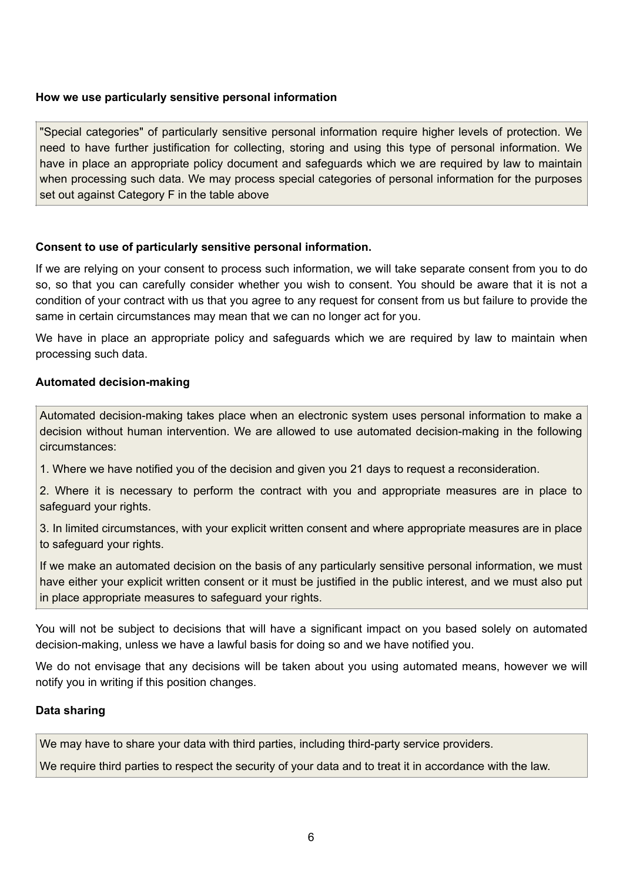#### **How we use particularly sensitive personal information**

"Special categories" of particularly sensitive personal information require higher levels of protection. We need to have further justification for collecting, storing and using this type of personal information. We have in place an appropriate policy document and safeguards which we are required by law to maintain when processing such data. We may process special categories of personal information for the purposes set out against Category F in the table above

### **Consent to use of particularly sensitive personal information.**

If we are relying on your consent to process such information, we will take separate consent from you to do so, so that you can carefully consider whether you wish to consent. You should be aware that it is not a condition of your contract with us that you agree to any request for consent from us but failure to provide the same in certain circumstances may mean that we can no longer act for you.

We have in place an appropriate policy and safeguards which we are required by law to maintain when processing such data.

### **Automated decision-making**

Automated decision-making takes place when an electronic system uses personal information to make a decision without human intervention. We are allowed to use automated decision-making in the following circumstances:

1. Where we have notified you of the decision and given you 21 days to request a reconsideration.

2. Where it is necessary to perform the contract with you and appropriate measures are in place to safeguard your rights.

3. In limited circumstances, with your explicit written consent and where appropriate measures are in place to safeguard your rights.

If we make an automated decision on the basis of any particularly sensitive personal information, we must have either your explicit written consent or it must be justified in the public interest, and we must also put in place appropriate measures to safeguard your rights.

You will not be subject to decisions that will have a significant impact on you based solely on automated decision-making, unless we have a lawful basis for doing so and we have notified you.

We do not envisage that any decisions will be taken about you using automated means, however we will notify you in writing if this position changes.

# **Data sharing**

We may have to share your data with third parties, including third-party service providers.

We require third parties to respect the security of your data and to treat it in accordance with the law.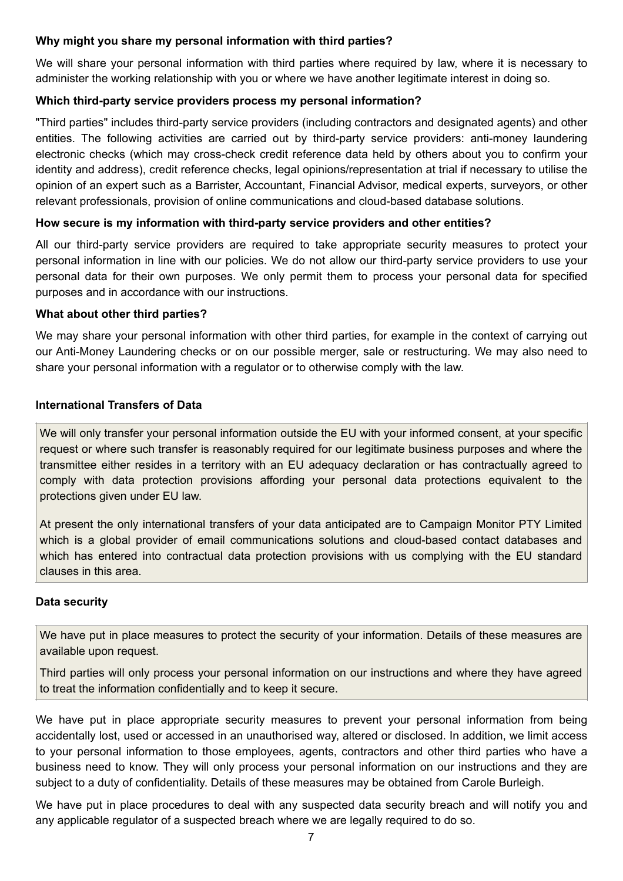# **Why might you share my personal information with third parties?**

We will share your personal information with third parties where required by law, where it is necessary to administer the working relationship with you or where we have another legitimate interest in doing so.

# **Which third-party service providers process my personal information?**

"Third parties" includes third-party service providers (including contractors and designated agents) and other entities. The following activities are carried out by third-party service providers: anti-money laundering electronic checks (which may cross-check credit reference data held by others about you to confirm your identity and address), credit reference checks, legal opinions/representation at trial if necessary to utilise the opinion of an expert such as a Barrister, Accountant, Financial Advisor, medical experts, surveyors, or other relevant professionals, provision of online communications and cloud-based database solutions.

### **How secure is my information with third-party service providers and other entities?**

All our third-party service providers are required to take appropriate security measures to protect your personal information in line with our policies. We do not allow our third-party service providers to use your personal data for their own purposes. We only permit them to process your personal data for specified purposes and in accordance with our instructions.

#### **What about other third parties?**

We may share your personal information with other third parties, for example in the context of carrying out our Anti-Money Laundering checks or on our possible merger, sale or restructuring. We may also need to share your personal information with a regulator or to otherwise comply with the law.

### **International Transfers of Data**

We will only transfer your personal information outside the EU with your informed consent, at your specific request or where such transfer is reasonably required for our legitimate business purposes and where the transmittee either resides in a territory with an EU adequacy declaration or has contractually agreed to comply with data protection provisions affording your personal data protections equivalent to the protections given under EU law.

At present the only international transfers of your data anticipated are to Campaign Monitor PTY Limited which is a global provider of email communications solutions and cloud-based contact databases and which has entered into contractual data protection provisions with us complying with the EU standard clauses in this area.

# **Data security**

We have put in place measures to protect the security of your information. Details of these measures are available upon request.

Third parties will only process your personal information on our instructions and where they have agreed to treat the information confidentially and to keep it secure.

We have put in place appropriate security measures to prevent your personal information from being accidentally lost, used or accessed in an unauthorised way, altered or disclosed. In addition, we limit access to your personal information to those employees, agents, contractors and other third parties who have a business need to know. They will only process your personal information on our instructions and they are subject to a duty of confidentiality. Details of these measures may be obtained from Carole Burleigh.

We have put in place procedures to deal with any suspected data security breach and will notify you and any applicable regulator of a suspected breach where we are legally required to do so.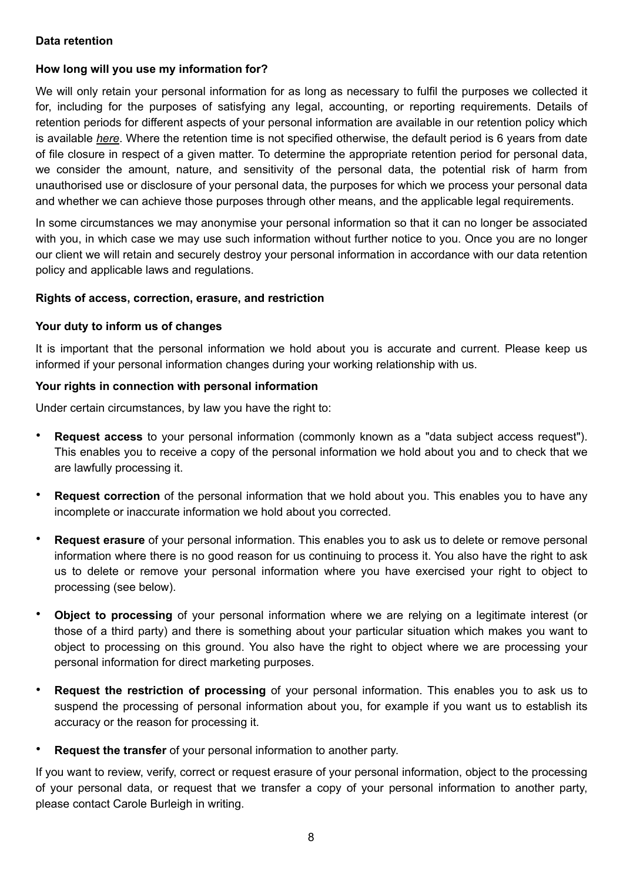# **Data retention**

### **How long will you use my information for?**

We will only retain your personal information for as long as necessary to fulfil the purposes we collected it for, including for the purposes of satisfying any legal, accounting, or reporting requirements. Details of retention periods for different aspects of your personal information are available in our retention policy which is available *[here](https://www.dbf-law.co.uk/uploads/File/CRITERIA-FOR-RETENTION-OF-FILES-from-May-2018.pdf)*. Where the retention time is not specified otherwise, the default period is 6 years from date of file closure in respect of a given matter. To determine the appropriate retention period for personal data, we consider the amount, nature, and sensitivity of the personal data, the potential risk of harm from unauthorised use or disclosure of your personal data, the purposes for which we process your personal data and whether we can achieve those purposes through other means, and the applicable legal requirements.

In some circumstances we may anonymise your personal information so that it can no longer be associated with you, in which case we may use such information without further notice to you. Once you are no longer our client we will retain and securely destroy your personal information in accordance with our data retention policy and applicable laws and regulations.

#### **Rights of access, correction, erasure, and restriction**

### **Your duty to inform us of changes**

It is important that the personal information we hold about you is accurate and current. Please keep us informed if your personal information changes during your working relationship with us.

### **Your rights in connection with personal information**

Under certain circumstances, by law you have the right to:

- **Request access** to your personal information (commonly known as a "data subject access request"). This enables you to receive a copy of the personal information we hold about you and to check that we are lawfully processing it.
- **Request correction** of the personal information that we hold about you. This enables you to have any incomplete or inaccurate information we hold about you corrected.
- **Request erasure** of your personal information. This enables you to ask us to delete or remove personal information where there is no good reason for us continuing to process it. You also have the right to ask us to delete or remove your personal information where you have exercised your right to object to processing (see below).
- **Object to processing** of your personal information where we are relying on a legitimate interest (or those of a third party) and there is something about your particular situation which makes you want to object to processing on this ground. You also have the right to object where we are processing your personal information for direct marketing purposes.
- **Request the restriction of processing** of your personal information. This enables you to ask us to suspend the processing of personal information about you, for example if you want us to establish its accuracy or the reason for processing it.
- **Request the transfer** of your personal information to another party.

If you want to review, verify, correct or request erasure of your personal information, object to the processing of your personal data, or request that we transfer a copy of your personal information to another party, please contact Carole Burleigh in writing.